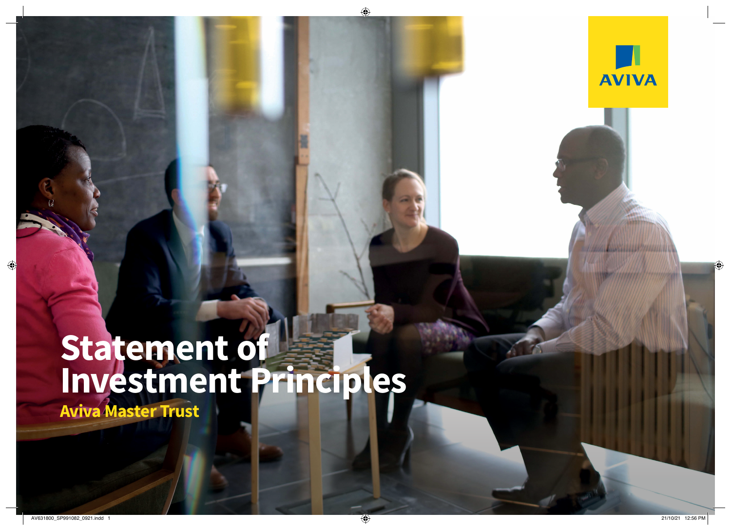

# **Statement of Investment Principles**

**Statement of Investment Principles** – Aviva Master Trust ('the Scheme')

**Aviva Master Trust**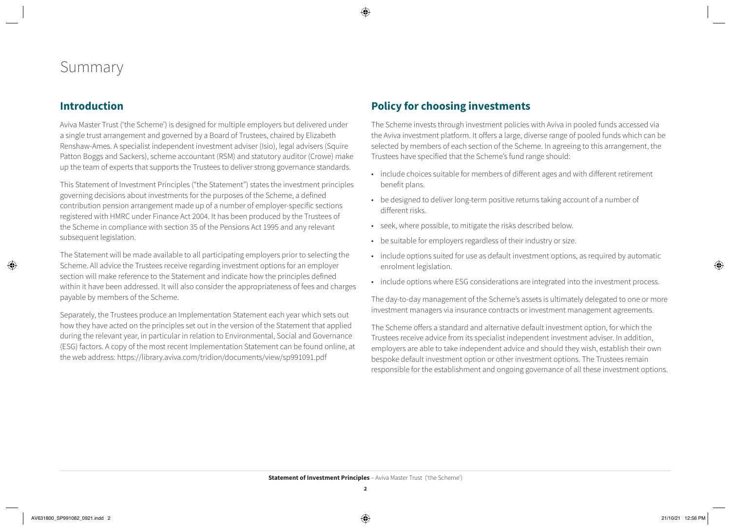## Summary

#### **Introduction**

Aviva Master Trust ('the Scheme') is designed for multiple employers but delivered under a single trust arrangement and governed by a Board of Trustees, chaired by Elizabeth Renshaw-Ames. A specialist independent investment adviser (Isio), legal advisers (Squire Patton Boggs and Sackers), scheme accountant (RSM) and statutory auditor (Crowe) make up the team of experts that supports the Trustees to deliver strong governance standards.

This Statement of Investment Principles ("the Statement") states the investment principles governing decisions about investments for the purposes of the Scheme, a defined contribution pension arrangement made up of a number of employer-specific sections registered with HMRC under Finance Act 2004. It has been produced by the Trustees of the Scheme in compliance with section 35 of the Pensions Act 1995 and any relevant subsequent legislation.

The Statement will be made available to all participating employers prior to selecting the Scheme. All advice the Trustees receive regarding investment options for an employer section will make reference to the Statement and indicate how the principles defined within it have been addressed. It will also consider the appropriateness of fees and charges payable by members of the Scheme.

Separately, the Trustees produce an Implementation Statement each year which sets out how they have acted on the principles set out in the version of the Statement that applied during the relevant year, in particular in relation to Environmental, Social and Governance (ESG) factors. A copy of the most recent Implementation Statement can be found online, at the web address: <https://library.aviva.com/tridion/documents/view/sp991091.pdf>

#### **Policy for choosing investments**

The Scheme invests through investment policies with Aviva in pooled funds accessed via the Aviva investment platform. It offers a large, diverse range of pooled funds which can be selected by members of each section of the Scheme. In agreeing to this arrangement, the Trustees have specified that the Scheme's fund range should:

- include choices suitable for members of different ages and with different retirement benefit plans.
- be designed to deliver long-term positive returns taking account of a number of different risks.
- seek, where possible, to mitigate the risks described below.
- be suitable for employers regardless of their industry or size.
- include options suited for use as default investment options, as required by automatic enrolment legislation.
- include options where ESG considerations are integrated into the investment process.

The day-to-day management of the Scheme's assets is ultimately delegated to one or more investment managers via insurance contracts or investment management agreements.

The Scheme offers a standard and alternative default investment option, for which the Trustees receive advice from its specialist independent investment adviser. In addition, employers are able to take independent advice and should they wish, establish their own bespoke default investment option or other investment options. The Trustees remain responsible for the establishment and ongoing governance of all these investment options.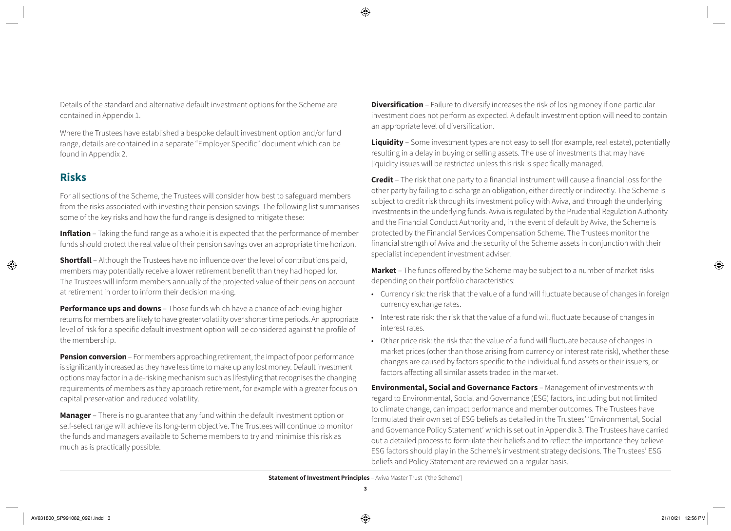Details of the standard and alternative default investment options for the Scheme are contained in Appendix 1.

Where the Trustees have established a bespoke default investment option and/or fund range, details are contained in a separate "Employer Specific" document which can be found in Appendix 2.

#### **Risks**

For all sections of the Scheme, the Trustees will consider how best to safeguard members from the risks associated with investing their pension savings. The following list summarises some of the key risks and how the fund range is designed to mitigate these:

**Inflation** – Taking the fund range as a whole it is expected that the performance of member funds should protect the real value of their pension savings over an appropriate time horizon.

**Shortfall** – Although the Trustees have no influence over the level of contributions paid, members may potentially receive a lower retirement benefit than they had hoped for. The Trustees will inform members annually of the projected value of their pension account at retirement in order to inform their decision making.

**Performance ups and downs** – Those funds which have a chance of achieving higher returns for members are likely to have greater volatility over shorter time periods. An appropriate level of risk for a specific default investment option will be considered against the profile of the membership.

**Pension conversion** – For members approaching retirement, the impact of poor performance is significantly increased as they have less time to make up any lost money. Default investment options may factor in a de-risking mechanism such as lifestyling that recognises the changing requirements of members as they approach retirement, for example with a greater focus on capital preservation and reduced volatility.

**Manager** – There is no guarantee that any fund within the default investment option or self-select range will achieve its long-term objective. The Trustees will continue to monitor the funds and managers available to Scheme members to try and minimise this risk as much as is practically possible.

**Diversification** – Failure to diversify increases the risk of losing money if one particular investment does not perform as expected. A default investment option will need to contain an appropriate level of diversification.

**Liquidity** – Some investment types are not easy to sell (for example, real estate), potentially resulting in a delay in buying or selling assets. The use of investments that may have liquidity issues will be restricted unless this risk is specifically managed.

**Credit** – The risk that one party to a financial instrument will cause a financial loss for the other party by failing to discharge an obligation, either directly or indirectly. The Scheme is subject to credit risk through its investment policy with Aviva, and through the underlying investments in the underlying funds. Aviva is regulated by the Prudential Regulation Authority and the Financial Conduct Authority and, in the event of default by Aviva, the Scheme is protected by the Financial Services Compensation Scheme. The Trustees monitor the financial strength of Aviva and the security of the Scheme assets in conjunction with their specialist independent investment adviser.

**Market** – The funds offered by the Scheme may be subject to a number of market risks depending on their portfolio characteristics:

- Currency risk: the risk that the value of a fund will fluctuate because of changes in foreign currency exchange rates.
- Interest rate risk: the risk that the value of a fund will fluctuate because of changes in interest rates.
- Other price risk: the risk that the value of a fund will fluctuate because of changes in market prices (other than those arising from currency or interest rate risk), whether these changes are caused by factors specific to the individual fund assets or their issuers, or factors affecting all similar assets traded in the market.

**Environmental, Social and Governance Factors** – Management of investments with regard to Environmental, Social and Governance (ESG) factors, including but not limited to climate change, can impact performance and member outcomes. The Trustees have formulated their own set of ESG beliefs as detailed in the Trustees' 'Environmental, Social and Governance Policy Statement' which is set out in Appendix 3. The Trustees have carried out a detailed process to formulate their beliefs and to reflect the importance they believe ESG factors should play in the Scheme's investment strategy decisions. The Trustees' ESG beliefs and Policy Statement are reviewed on a regular basis.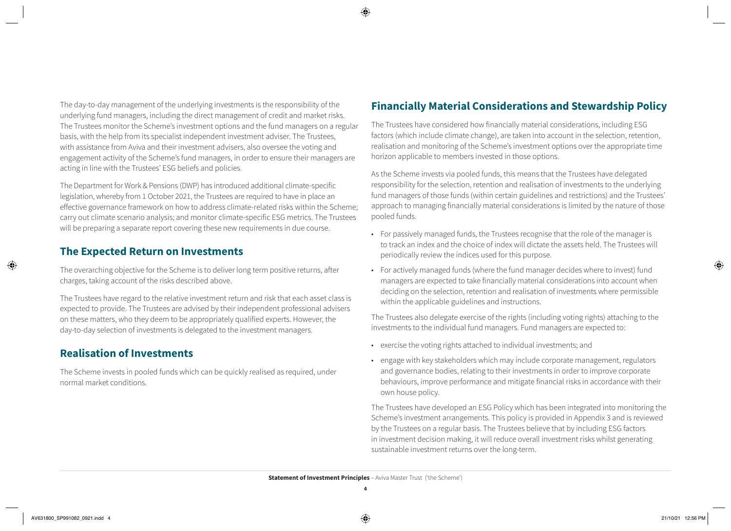The day-to-day management of the underlying investments is the responsibility of the underlying fund managers, including the direct management of credit and market risks. The Trustees monitor the Scheme's investment options and the fund managers on a regular basis, with the help from its specialist independent investment adviser. The Trustees, with assistance from Aviva and their investment advisers, also oversee the voting and engagement activity of the Scheme's fund managers, in order to ensure their managers are acting in line with the Trustees' ESG beliefs and policies.

The Department for Work & Pensions (DWP) has introduced additional climate-specific legislation, whereby from 1 October 2021, the Trustees are required to have in place an effective governance framework on how to address climate-related risks within the Scheme; carry out climate scenario analysis; and monitor climate-specific ESG metrics. The Trustees will be preparing a separate report covering these new requirements in due course.

#### **The Expected Return on Investments**

The overarching objective for the Scheme is to deliver long term positive returns, after charges, taking account of the risks described above.

The Trustees have regard to the relative investment return and risk that each asset class is expected to provide. The Trustees are advised by their independent professional advisers on these matters, who they deem to be appropriately qualified experts. However, the day-to-day selection of investments is delegated to the investment managers.

#### **Realisation of Investments**

The Scheme invests in pooled funds which can be quickly realised as required, under normal market conditions.

### **Financially Material Considerations and Stewardship Policy**

The Trustees have considered how financially material considerations, including ESG factors (which include climate change), are taken into account in the selection, retention, realisation and monitoring of the Scheme's investment options over the appropriate time horizon applicable to members invested in those options.

As the Scheme invests via pooled funds, this means that the Trustees have delegated responsibility for the selection, retention and realisation of investments to the underlying fund managers of those funds (within certain guidelines and restrictions) and the Trustees' approach to managing financially material considerations is limited by the nature of those pooled funds.

- For passively managed funds, the Trustees recognise that the role of the manager is to track an index and the choice of index will dictate the assets held. The Trustees will periodically review the indices used for this purpose.
- For actively managed funds (where the fund manager decides where to invest) fund managers are expected to take financially material considerations into account when deciding on the selection, retention and realisation of investments where permissible within the applicable guidelines and instructions.

The Trustees also delegate exercise of the rights (including voting rights) attaching to the investments to the individual fund managers. Fund managers are expected to:

- exercise the voting rights attached to individual investments; and
- engage with key stakeholders which may include corporate management, regulators and governance bodies, relating to their investments in order to improve corporate behaviours, improve performance and mitigate financial risks in accordance with their own house policy.

The Trustees have developed an ESG Policy which has been integrated into monitoring the Scheme's investment arrangements. This policy is provided in Appendix 3 and is reviewed by the Trustees on a regular basis. The Trustees believe that by including ESG factors in investment decision making, it will reduce overall investment risks whilst generating sustainable investment returns over the long-term.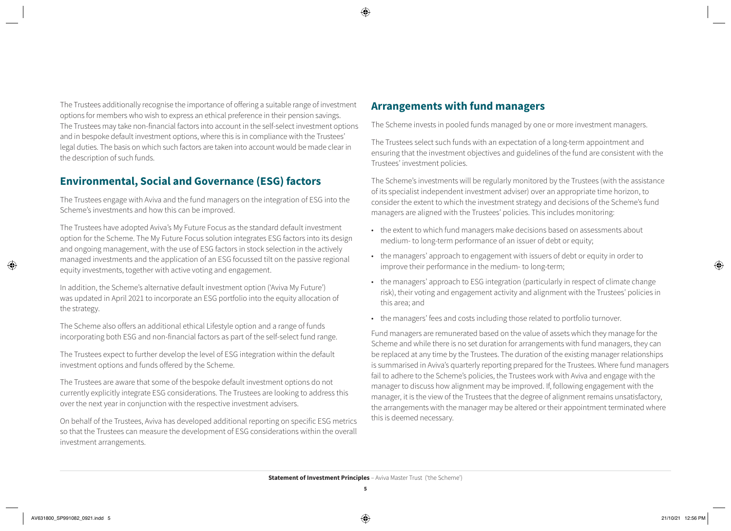The Trustees additionally recognise the importance of offering a suitable range of investment options for members who wish to express an ethical preference in their pension savings. The Trustees may take non-financial factors into account in the self-select investment options and in bespoke default investment options, where this is in compliance with the Trustees' legal duties. The basis on which such factors are taken into account would be made clear in the description of such funds.

#### **Environmental, Social and Governance (ESG) factors**

The Trustees engage with Aviva and the fund managers on the integration of ESG into the Scheme's investments and how this can be improved.

The Trustees have adopted Aviva's My Future Focus as the standard default investment option for the Scheme. The My Future Focus solution integrates ESG factors into its design and ongoing management, with the use of ESG factors in stock selection in the actively managed investments and the application of an ESG focussed tilt on the passive regional equity investments, together with active voting and engagement.

In addition, the Scheme's alternative default investment option ('Aviva My Future') was updated in April 2021 to incorporate an ESG portfolio into the equity allocation of the strategy.

The Scheme also offers an additional ethical Lifestyle option and a range of funds incorporating both ESG and non-financial factors as part of the self-select fund range.

The Trustees expect to further develop the level of ESG integration within the default investment options and funds offered by the Scheme.

The Trustees are aware that some of the bespoke default investment options do not currently explicitly integrate ESG considerations. The Trustees are looking to address this over the next year in conjunction with the respective investment advisers.

On behalf of the Trustees, Aviva has developed additional reporting on specific ESG metrics so that the Trustees can measure the development of ESG considerations within the overall investment arrangements.

#### **Arrangements with fund managers**

The Scheme invests in pooled funds managed by one or more investment managers.

The Trustees select such funds with an expectation of a long-term appointment and ensuring that the investment objectives and guidelines of the fund are consistent with the Trustees' investment policies.

The Scheme's investments will be regularly monitored by the Trustees (with the assistance of its specialist independent investment adviser) over an appropriate time horizon, to consider the extent to which the investment strategy and decisions of the Scheme's fund managers are aligned with the Trustees' policies. This includes monitoring:

- the extent to which fund managers make decisions based on assessments about medium- to long-term performance of an issuer of debt or equity;
- the managers' approach to engagement with issuers of debt or equity in order to improve their performance in the medium- to long-term;
- the managers' approach to ESG integration (particularly in respect of climate change risk), their voting and engagement activity and alignment with the Trustees' policies in this area; and
- the managers' fees and costs including those related to portfolio turnover.

Fund managers are remunerated based on the value of assets which they manage for the Scheme and while there is no set duration for arrangements with fund managers, they can be replaced at any time by the Trustees. The duration of the existing manager relationships is summarised in Aviva's quarterly reporting prepared for the Trustees. Where fund managers fail to adhere to the Scheme's policies, the Trustees work with Aviva and engage with the manager to discuss how alignment may be improved. If, following engagement with the manager, it is the view of the Trustees that the degree of alignment remains unsatisfactory, the arrangements with the manager may be altered or their appointment terminated where this is deemed necessary.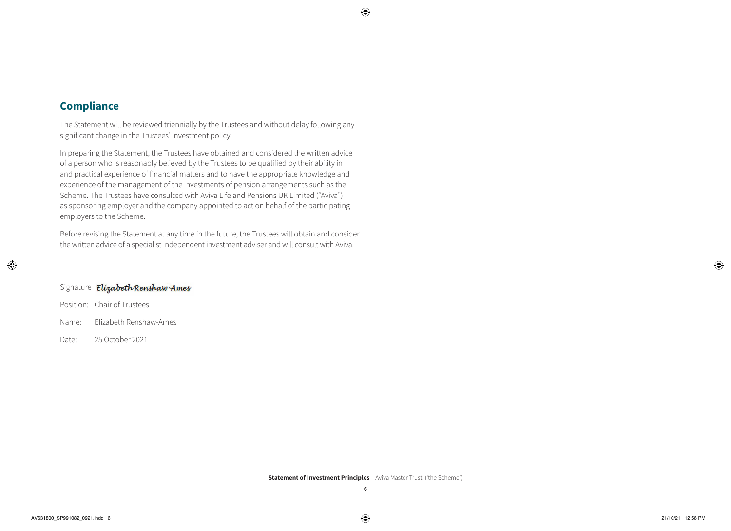#### **Compliance**

The Statement will be reviewed triennially by the Trustees and without delay following any significant change in the Trustees' investment policy.

In preparing the Statement, the Trustees have obtained and considered the written advice of a person who is reasonably believed by the Trustees to be qualified by their ability in and practical experience of financial matters and to have the appropriate knowledge and experience of the management of the investments of pension arrangements such as the Scheme. The Trustees have consulted with Aviva Life and Pensions UK Limited ("Aviva") as sponsoring employer and the company appointed to act on behalf of the participating employers to the Scheme.

Before revising the Statement at any time in the future, the Trustees will obtain and consider the written advice of a specialist independent investment adviser and will consult with Aviva.

#### Signature *Elizabeth Renshaw Ames*

Position: Chair of Trustees

Name: Elizabeth Renshaw-Ames

Date: 25 October 2021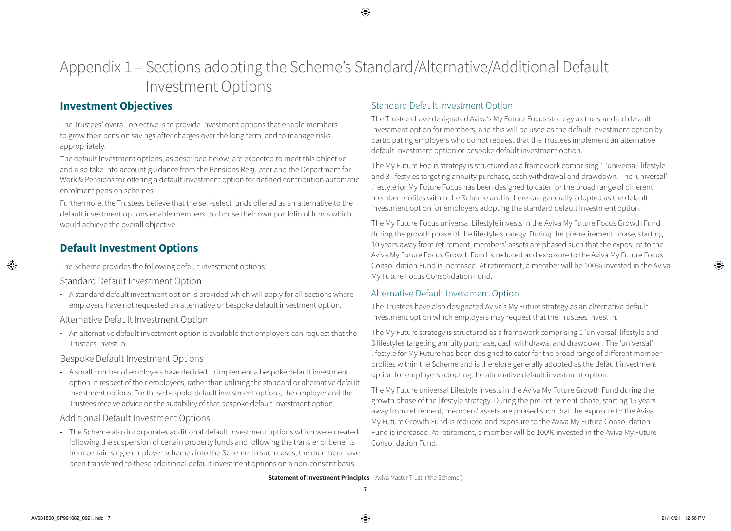# Appendix 1 – Sections adopting the Scheme's Standard/Alternative/Additional Default Investment Options

#### **Investment Objectives**

The Trustees' overall objective is to provide investment options that enable members to grow their pension savings after charges over the long term, and to manage risks appropriately.

The default investment options, as described below, are expected to meet this objective and also take into account guidance from the Pensions Regulator and the Department for Work & Pensions for offering a default investment option for defined contribution automatic enrolment pension schemes.

Furthermore, the Trustees believe that the self-select funds offered as an alternative to the default investment options enable members to choose their own portfolio of funds which would achieve the overall objective.

### **Default Investment Options**

The Scheme provides the following default investment options:

Standard Default Investment Option

• A standard default investment option is provided which will apply for all sections where employers have not requested an alternative or bespoke default investment option.

Alternative Default Investment Option

• An alternative default investment option is available that employers can request that the Trustees invest in.

Bespoke Default Investment Options

• A small number of employers have decided to implement a bespoke default investment option in respect of their employees, rather than utilising the standard or alternative default investment options. For these bespoke default investment options, the employer and the Trustees receive advice on the suitability of that bespoke default investment option.

#### Additional Default Investment Options

• The Scheme also incorporates additional default investment options which were created following the suspension of certain property funds and following the transfer of benefits from certain single employer schemes into the Scheme. In such cases, the members have been transferred to these additional default investment options on a non-consent basis.

#### Standard Default Investment Option

The Trustees have designated Aviva's My Future Focus strategy as the standard default investment option for members, and this will be used as the default investment option by participating employers who do not request that the Trustees implement an alternative default investment option or bespoke default investment option.

The My Future Focus strategy is structured as a framework comprising 1 'universal' lifestyle and 3 lifestyles targeting annuity purchase, cash withdrawal and drawdown. The 'universal' lifestyle for My Future Focus has been designed to cater for the broad range of different member profiles within the Scheme and is therefore generally adopted as the default investment option for employers adopting the standard default investment option.

The My Future Focus universal Lifestyle invests in the Aviva My Future Focus Growth Fund during the growth phase of the lifestyle strategy. During the pre-retirement phase, starting 10 years away from retirement, members' assets are phased such that the exposure to the Aviva My Future Focus Growth Fund is reduced and exposure to the Aviva My Future Focus Consolidation Fund is increased. At retirement, a member will be 100% invested in the Aviva My Future Focus Consolidation Fund.

#### Alternative Default Investment Option

The Trustees have also designated Aviva's My Future strategy as an alternative default investment option which employers may request that the Trustees invest in.

The My Future strategy is structured as a framework comprising 1 'universal' lifestyle and 3 lifestyles targeting annuity purchase, cash withdrawal and drawdown. The 'universal' lifestyle for My Future has been designed to cater for the broad range of different member profiles within the Scheme and is therefore generally adopted as the default investment option for employers adopting the alternative default investment option.

The My Future universal Lifestyle invests in the Aviva My Future Growth Fund during the growth phase of the lifestyle strategy. During the pre-retirement phase, starting 15 years away from retirement, members' assets are phased such that the exposure to the Aviva My Future Growth Fund is reduced and exposure to the Aviva My Future Consolidation Fund is increased. At retirement, a member will be 100% invested in the Aviva My Future Consolidation Fund.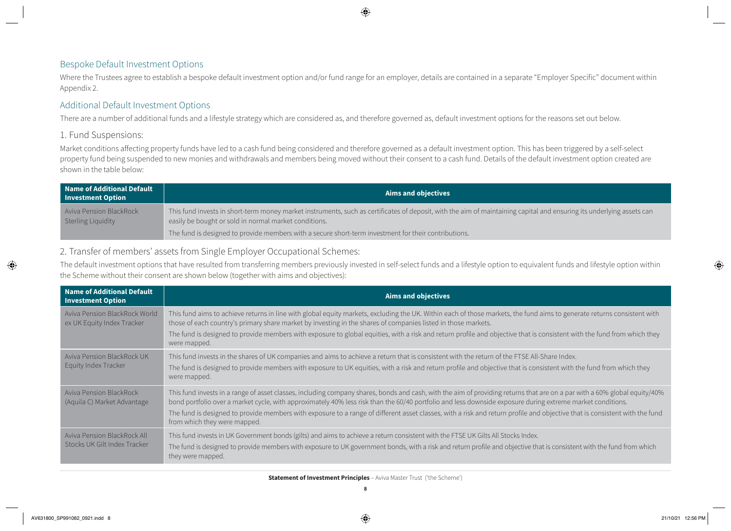#### Bespoke Default Investment Options

Where the Trustees agree to establish a bespoke default investment option and/or fund range for an employer, details are contained in a separate "Employer Specific" document within Appendix 2.

#### Additional Default Investment Options

There are a number of additional funds and a lifestyle strategy which are considered as, and therefore governed as, default investment options for the reasons set out below.

#### 1. Fund Suspensions:

Market conditions affecting property funds have led to a cash fund being considered and therefore governed as a default investment option. This has been triggered by a self-select property fund being suspended to new monies and withdrawals and members being moved without their consent to a cash fund. Details of the default investment option created are shown in the table below:

| Name of Additional Default<br><b>Investment Option</b> | <b>Aims and objectives</b>                                                                                                                                                                                                     |  |  |  |  |
|--------------------------------------------------------|--------------------------------------------------------------------------------------------------------------------------------------------------------------------------------------------------------------------------------|--|--|--|--|
| <b>Aviva Pension BlackRock</b><br>Sterling Liquidity   | This fund invests in short-term money market instruments, such as certificates of deposit, with the aim of maintaining capital and ensuring its underlying assets can<br>easily be bought or sold in normal market conditions. |  |  |  |  |
|                                                        | The fund is designed to provide members with a secure short-term investment for their contributions.                                                                                                                           |  |  |  |  |

#### 2. Transfer of members' assets from Single Employer Occupational Schemes:

The default investment options that have resulted from transferring members previously invested in self-select funds and a lifestyle option to equivalent funds and lifestyle option within the Scheme without their consent are shown below (together with aims and objectives):

| <b>Name of Additional Default</b><br><b>Investment Option</b> | <b>Aims and objectives</b>                                                                                                                                                                                                                                                                                                                                                                                                                                                                                                                            |
|---------------------------------------------------------------|-------------------------------------------------------------------------------------------------------------------------------------------------------------------------------------------------------------------------------------------------------------------------------------------------------------------------------------------------------------------------------------------------------------------------------------------------------------------------------------------------------------------------------------------------------|
| Aviva Pension BlackRock World<br>ex UK Equity Index Tracker   | This fund aims to achieve returns in line with global equity markets, excluding the UK. Within each of those markets, the fund aims to generate returns consistent with<br>those of each country's primary share market by investing in the shares of companies listed in those markets.<br>The fund is designed to provide members with exposure to global equities, with a risk and return profile and objective that is consistent with the fund from which they<br>were mapped.                                                                   |
| Aviva Pension BlackRock UK<br>Equity Index Tracker            | This fund invests in the shares of UK companies and aims to achieve a return that is consistent with the return of the FTSE All-Share Index.<br>The fund is designed to provide members with exposure to UK equities, with a risk and return profile and objective that is consistent with the fund from which they<br>were mapped.                                                                                                                                                                                                                   |
| Aviva Pension BlackRock<br>(Aquila C) Market Advantage        | This fund invests in a range of asset classes, including company shares, bonds and cash, with the aim of providing returns that are on a par with a 60% global equity/40%<br>bond portfolio over a market cycle, with approximately 40% less risk than the 60/40 portfolio and less downside exposure during extreme market conditions.<br>The fund is designed to provide members with exposure to a range of different asset classes, with a risk and return profile and objective that is consistent with the fund<br>from which they were mapped. |
| Aviva Pension BlackRock All<br>Stocks UK Gilt Index Tracker   | This fund invests in UK Government bonds (gilts) and aims to achieve a return consistent with the FTSE UK Gilts All Stocks Index.<br>The fund is designed to provide members with exposure to UK government bonds, with a risk and return profile and objective that is consistent with the fund from which<br>they were mapped.                                                                                                                                                                                                                      |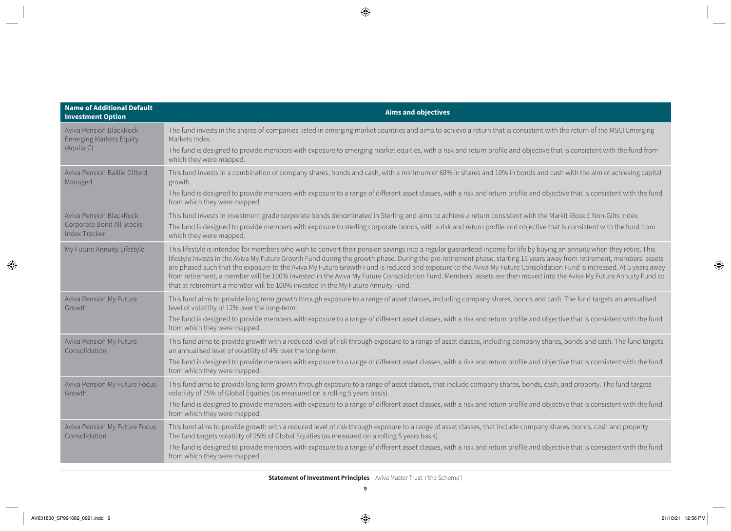| <b>Name of Additional Default</b><br><b>Investment Option</b>                       | <b>Aims and objectives</b>                                                                                                                                                                                                                                                                                                                                                                                                                                                                                                                                                                                                                                                                                                                                                         |  |  |  |  |  |
|-------------------------------------------------------------------------------------|------------------------------------------------------------------------------------------------------------------------------------------------------------------------------------------------------------------------------------------------------------------------------------------------------------------------------------------------------------------------------------------------------------------------------------------------------------------------------------------------------------------------------------------------------------------------------------------------------------------------------------------------------------------------------------------------------------------------------------------------------------------------------------|--|--|--|--|--|
| <b>Aviva Pension BlackRock</b><br><b>Emerging Markets Equity</b>                    | The fund invests in the shares of companies listed in emerging market countries and aims to achieve a return that is consistent with the return of the MSCI Emerging<br>Markets Index.                                                                                                                                                                                                                                                                                                                                                                                                                                                                                                                                                                                             |  |  |  |  |  |
| (Aquila C)                                                                          | The fund is designed to provide members with exposure to emerging market equities, with a risk and return profile and objective that is consistent with the fund from<br>which they were mapped.                                                                                                                                                                                                                                                                                                                                                                                                                                                                                                                                                                                   |  |  |  |  |  |
| Aviva Pension Baillie Gifford<br>Managed                                            | This fund invests in a combination of company shares, bonds and cash, with a minimum of 60% in shares and 10% in bonds and cash with the aim of achieving capital<br>growth.                                                                                                                                                                                                                                                                                                                                                                                                                                                                                                                                                                                                       |  |  |  |  |  |
|                                                                                     | The fund is designed to provide members with exposure to a range of different asset classes, with a risk and return profile and objective that is consistent with the fund<br>from which they were mapped.                                                                                                                                                                                                                                                                                                                                                                                                                                                                                                                                                                         |  |  |  |  |  |
| <b>Aviva Pension BlackRock</b><br>Corporate Bond All Stocks<br><b>Index Tracker</b> | This fund invests in investment grade corporate bonds denominated in Sterling and aims to achieve a return consistent with the Markit iBoxx £ Non-Gilts Index.<br>The fund is designed to provide members with exposure to sterling corporate bonds, with a risk and return profile and objective that is consistent with the fund from<br>which they were mapped.                                                                                                                                                                                                                                                                                                                                                                                                                 |  |  |  |  |  |
| My Future Annuity Lifestyle                                                         | This lifestyle is intended for members who wish to convert their pension savings into a regular guaranteed income for life by buying an annuity when they retire. This<br>lifestyle invests in the Aviva My Future Growth Fund during the growth phase. During the pre-retirement phase, starting 15 years away from retirement, members' assets<br>are phased such that the exposure to the Aviva My Future Growth Fund is reduced and exposure to the Aviva My Future Consolidation Fund is increased. At 5 years away<br>from retirement, a member will be 100% invested in the Aviva My Future Consolidation Fund. Members' assets are then moved into the Aviva My Future Annuity Fund so<br>that at retirement a member will be 100% invested in the My Future Annuity Fund. |  |  |  |  |  |
| Aviva Pension My Future<br>Growth                                                   | This fund aims to provide long term growth through exposure to a range of asset classes, including company shares, bonds and cash. The fund targets an annualised<br>level of volatility of 12% over the long-term.                                                                                                                                                                                                                                                                                                                                                                                                                                                                                                                                                                |  |  |  |  |  |
|                                                                                     | The fund is designed to provide members with exposure to a range of different asset classes, with a risk and return profile and objective that is consistent with the fund<br>from which they were mapped.                                                                                                                                                                                                                                                                                                                                                                                                                                                                                                                                                                         |  |  |  |  |  |
| Aviva Pension My Future<br>Consolidation                                            | This fund aims to provide growth with a reduced level of risk through exposure to a range of asset classes, including company shares, bonds and cash. The fund targets<br>an annualised level of volatility of 4% over the long-term.                                                                                                                                                                                                                                                                                                                                                                                                                                                                                                                                              |  |  |  |  |  |
|                                                                                     | The fund is designed to provide members with exposure to a range of different asset classes, with a risk and return profile and objective that is consistent with the fund<br>from which they were mapped.                                                                                                                                                                                                                                                                                                                                                                                                                                                                                                                                                                         |  |  |  |  |  |
| Aviva Pension My Future Focus<br>Growth                                             | This fund aims to provide long term growth through exposure to a range of asset classes, that include company shares, bonds, cash, and property. The fund targets<br>volatility of 75% of Global Equities (as measured on a rolling 5 years basis).                                                                                                                                                                                                                                                                                                                                                                                                                                                                                                                                |  |  |  |  |  |
|                                                                                     | The fund is designed to provide members with exposure to a range of different asset classes, with a risk and return profile and objective that is consistent with the fund<br>from which they were mapped.                                                                                                                                                                                                                                                                                                                                                                                                                                                                                                                                                                         |  |  |  |  |  |
| Aviva Pension My Future Focus<br>Consolidation                                      | This fund aims to provide growth with a reduced level of risk through exposure to a range of asset classes, that include company shares, bonds, cash and property.<br>The fund targets volatility of 25% of Global Equities (as measured on a rolling 5 years basis).                                                                                                                                                                                                                                                                                                                                                                                                                                                                                                              |  |  |  |  |  |
|                                                                                     | The fund is designed to provide members with exposure to a range of different asset classes, with a risk and return profile and objective that is consistent with the fund<br>from which they were mapped.                                                                                                                                                                                                                                                                                                                                                                                                                                                                                                                                                                         |  |  |  |  |  |
|                                                                                     |                                                                                                                                                                                                                                                                                                                                                                                                                                                                                                                                                                                                                                                                                                                                                                                    |  |  |  |  |  |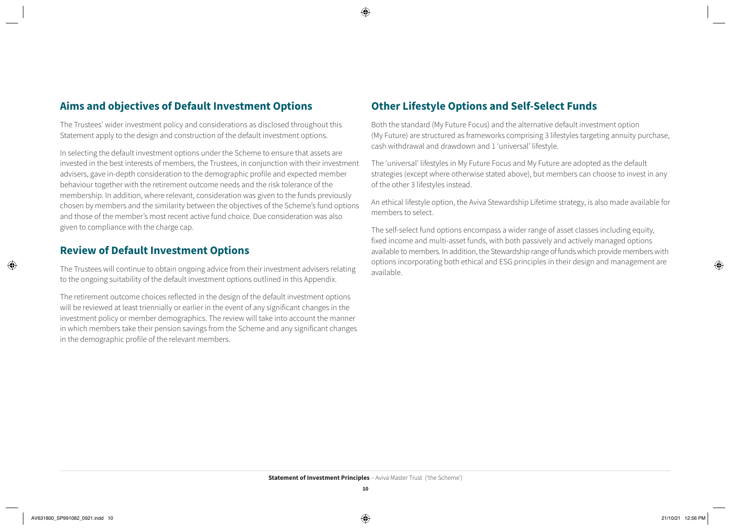#### **Aims and objectives of Default Investment Options**

The Trustees' wider investment policy and considerations as disclosed throughout this Statement apply to the design and construction of the default investment options.

In selecting the default investment options under the Scheme to ensure that assets are invested in the best interests of members, the Trustees, in conjunction with their investment advisers, gave in-depth consideration to the demographic profile and expected member behaviour together with the retirement outcome needs and the risk tolerance of the membership. In addition, where relevant, consideration was given to the funds previously chosen by members and the similarity between the objectives of the Scheme's fund options and those of the member's most recent active fund choice. Due consideration was also given to compliance with the charge cap.

#### **Review of Default Investment Options**

The Trustees will continue to obtain ongoing advice from their investment advisers relating to the ongoing suitability of the default investment options outlined in this Appendix.

The retirement outcome choices reflected in the design of the default investment options will be reviewed at least triennially or earlier in the event of any significant changes in the investment policy or member demographics. The review will take into account the manner in which members take their pension savings from the Scheme and any significant changes in the demographic profile of the relevant members.

#### **Other Lifestyle Options and Self-Select Funds**

Both the standard (My Future Focus) and the alternative default investment option (My Future) are structured as frameworks comprising 3 lifestyles targeting annuity purchase, cash withdrawal and drawdown and 1 'universal' lifestyle.

The 'universal' lifestyles in My Future Focus and My Future are adopted as the default strategies (except where otherwise stated above), but members can choose to invest in any of the other 3 lifestyles instead.

An ethical lifestyle option, the Aviva Stewardship Lifetime strategy, is also made available for members to select.

The self-select fund options encompass a wider range of asset classes including equity, fixed income and multi-asset funds, with both passively and actively managed options available to members. In addition, the Stewardship range of funds which provide members with options incorporating both ethical and ESG principles in their design and management are available.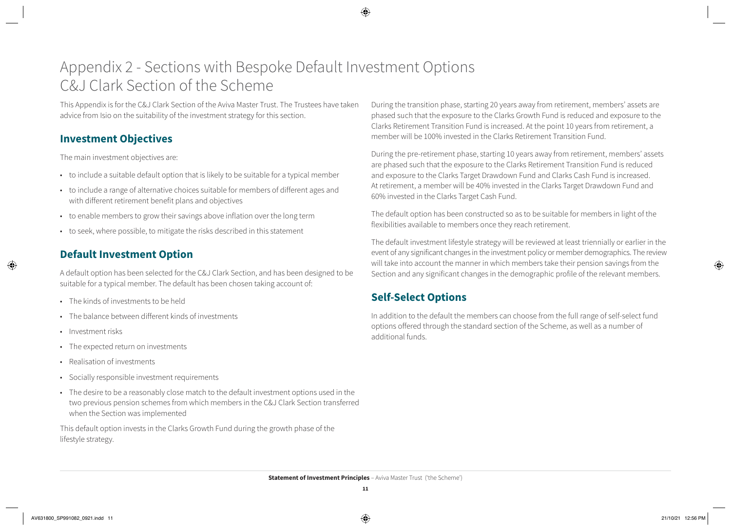# Appendix 2 - Sections with Bespoke Default Investment Options C&J Clark Section of the Scheme

This Appendix is for the C&J Clark Section of the Aviva Master Trust. The Trustees have taken advice from Isio on the suitability of the investment strategy for this section.

#### **Investment Objectives**

The main investment objectives are:

- to include a suitable default option that is likely to be suitable for a typical member
- to include a range of alternative choices suitable for members of different ages and with different retirement benefit plans and objectives
- to enable members to grow their savings above inflation over the long term
- to seek, where possible, to mitigate the risks described in this statement

### **Default Investment Option**

A default option has been selected for the C&J Clark Section, and has been designed to be suitable for a typical member. The default has been chosen taking account of:

- The kinds of investments to be held
- The balance between different kinds of investments
- Investment risks
- The expected return on investments
- Realisation of investments
- Socially responsible investment requirements
- The desire to be a reasonably close match to the default investment options used in the two previous pension schemes from which members in the C&J Clark Section transferred when the Section was implemented

This default option invests in the Clarks Growth Fund during the growth phase of the lifestyle strategy.

During the transition phase, starting 20 years away from retirement, members' assets are phased such that the exposure to the Clarks Growth Fund is reduced and exposure to the Clarks Retirement Transition Fund is increased. At the point 10 years from retirement, a member will be 100% invested in the Clarks Retirement Transition Fund.

During the pre-retirement phase, starting 10 years away from retirement, members' assets are phased such that the exposure to the Clarks Retirement Transition Fund is reduced and exposure to the Clarks Target Drawdown Fund and Clarks Cash Fund is increased. At retirement, a member will be 40% invested in the Clarks Target Drawdown Fund and 60% invested in the Clarks Target Cash Fund.

The default option has been constructed so as to be suitable for members in light of the flexibilities available to members once they reach retirement.

The default investment lifestyle strategy will be reviewed at least triennially or earlier in the event of any significant changes in the investment policy or member demographics. The review will take into account the manner in which members take their pension savings from the Section and any significant changes in the demographic profile of the relevant members.

#### **Self-Select Options**

In addition to the default the members can choose from the full range of self-select fund options offered through the standard section of the Scheme, as well as a number of additional funds.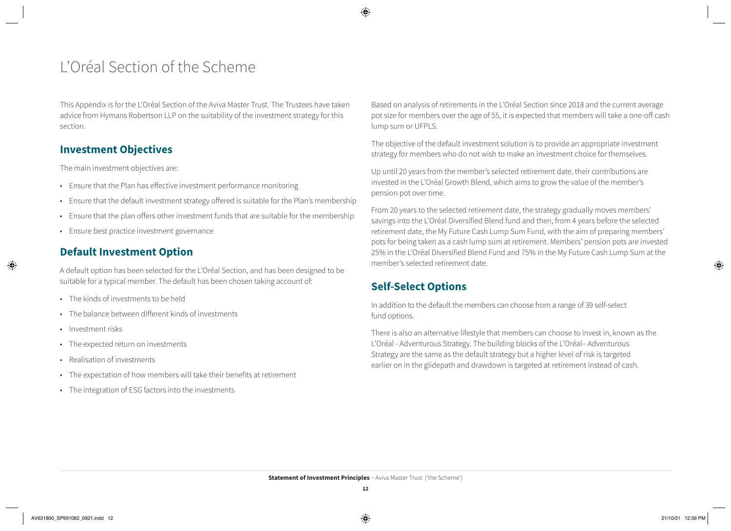# L'Oréal Section of the Scheme

This Appendix is for the L'Oréal Section of the Aviva Master Trust. The Trustees have taken advice from Hymans Robertson LLP on the suitability of the investment strategy for this section.

#### **Investment Objectives**

The main investment objectives are:

- Ensure that the Plan has effective investment performance monitoring
- Ensure that the default investment strategy offered is suitable for the Plan's membership
- Ensure that the plan offers other investment funds that are suitable for the membership
- Ensure best practice investment governance

### **Default Investment Option**

A default option has been selected for the L'Oréal Section, and has been designed to be suitable for a typical member. The default has been chosen taking account of:

- The kinds of investments to be held
- The balance between different kinds of investments
- Investment risks
- The expected return on investments
- Realisation of investments
- The expectation of how members will take their benefits at retirement
- The integration of ESG factors into the investments

Based on analysis of retirements in the L'Oréal Section since 2018 and the current average pot size for members over the age of 55, it is expected that members will take a one-off cash lump sum or UFPLS.

The objective of the default investment solution is to provide an appropriate investment strategy for members who do not wish to make an investment choice for themselves.

Up until 20 years from the member's selected retirement date, their contributions are invested in the L'Oréal Growth Blend, which aims to grow the value of the member's pension pot over time.

From 20 years to the selected retirement date, the strategy gradually moves members' savings into the L'Oréal Diversified Blend fund and then, from 4 years before the selected retirement date, the My Future Cash Lump Sum Fund, with the aim of preparing members' pots for being taken as a cash lump sum at retirement. Members' pension pots are invested 25% in the L'Oréal Diversified Blend Fund and 75% in the My Future Cash Lump Sum at the member's selected retirement date.

### **Self-Select Options**

In addition to the default the members can choose from a range of 39 self-select fund options.

There is also an alternative lifestyle that members can choose to invest in, known as the L'Oréal - Adventurous Strategy. The building blocks of the L'Oréal– Adventurous Strategy are the same as the default strategy but a higher level of risk is targeted earlier on in the glidepath and drawdown is targeted at retirement instead of cash.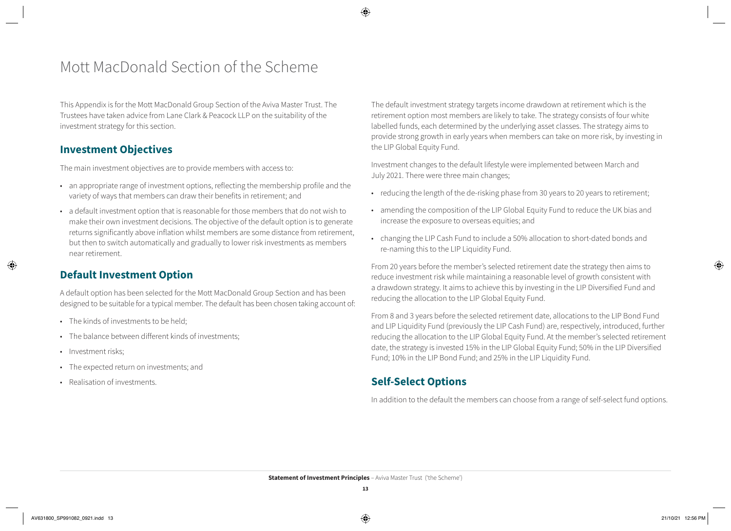# Mott MacDonald Section of the Scheme

This Appendix is for the Mott MacDonald Group Section of the Aviva Master Trust. The Trustees have taken advice from Lane Clark & Peacock LLP on the suitability of the investment strategy for this section.

#### **Investment Objectives**

The main investment objectives are to provide members with access to:

- an appropriate range of investment options, reflecting the membership profile and the variety of ways that members can draw their benefits in retirement; and
- a default investment option that is reasonable for those members that do not wish to make their own investment decisions. The objective of the default option is to generate returns significantly above inflation whilst members are some distance from retirement, but then to switch automatically and gradually to lower risk investments as members near retirement.

### **Default Investment Option**

A default option has been selected for the Mott MacDonald Group Section and has been designed to be suitable for a typical member. The default has been chosen taking account of:

- The kinds of investments to be held:
- The balance between different kinds of investments;
- Investment risks:
- The expected return on investments; and
- Realisation of investments.

The default investment strategy targets income drawdown at retirement which is the retirement option most members are likely to take. The strategy consists of four white labelled funds, each determined by the underlying asset classes. The strategy aims to provide strong growth in early years when members can take on more risk, by investing in the LIP Global Equity Fund.

Investment changes to the default lifestyle were implemented between March and July 2021. There were three main changes;

- reducing the length of the de-risking phase from 30 years to 20 years to retirement;
- amending the composition of the LIP Global Equity Fund to reduce the UK bias and increase the exposure to overseas equities; and
- changing the LIP Cash Fund to include a 50% allocation to short-dated bonds and re-naming this to the LIP Liquidity Fund.

From 20 years before the member's selected retirement date the strategy then aims to reduce investment risk while maintaining a reasonable level of growth consistent with a drawdown strategy. It aims to achieve this by investing in the LIP Diversified Fund and reducing the allocation to the LIP Global Equity Fund.

From 8 and 3 years before the selected retirement date, allocations to the LIP Bond Fund and LIP Liquidity Fund (previously the LIP Cash Fund) are, respectively, introduced, further reducing the allocation to the LIP Global Equity Fund. At the member's selected retirement date, the strategy is invested 15% in the LIP Global Equity Fund; 50% in the LIP Diversified Fund; 10% in the LIP Bond Fund; and 25% in the LIP Liquidity Fund.

#### **Self-Select Options**

In addition to the default the members can choose from a range of self-select fund options.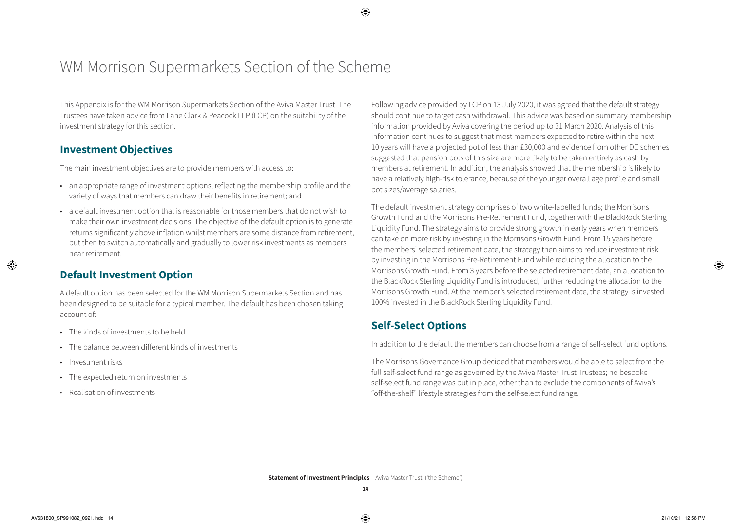# WM Morrison Supermarkets Section of the Scheme

This Appendix is for the WM Morrison Supermarkets Section of the Aviva Master Trust. The Trustees have taken advice from Lane Clark & Peacock LLP (LCP) on the suitability of the investment strategy for this section.

#### **Investment Objectives**

The main investment objectives are to provide members with access to:

- an appropriate range of investment options, reflecting the membership profile and the variety of ways that members can draw their benefits in retirement; and
- a default investment option that is reasonable for those members that do not wish to make their own investment decisions. The objective of the default option is to generate returns significantly above inflation whilst members are some distance from retirement, but then to switch automatically and gradually to lower risk investments as members near retirement.

### **Default Investment Option**

A default option has been selected for the WM Morrison Supermarkets Section and has been designed to be suitable for a typical member. The default has been chosen taking account of:

- The kinds of investments to be held
- The balance between different kinds of investments
- Investment risks
- The expected return on investments
- Realisation of investments

Following advice provided by LCP on 13 July 2020, it was agreed that the default strategy should continue to target cash withdrawal. This advice was based on summary membership information provided by Aviva covering the period up to 31 March 2020. Analysis of this information continues to suggest that most members expected to retire within the next 10 years will have a projected pot of less than £30,000 and evidence from other DC schemes suggested that pension pots of this size are more likely to be taken entirely as cash by members at retirement. In addition, the analysis showed that the membership is likely to have a relatively high-risk tolerance, because of the younger overall age profile and small pot sizes/average salaries.

The default investment strategy comprises of two white-labelled funds; the Morrisons Growth Fund and the Morrisons Pre-Retirement Fund, together with the BlackRock Sterling Liquidity Fund. The strategy aims to provide strong growth in early years when members can take on more risk by investing in the Morrisons Growth Fund. From 15 years before the members' selected retirement date, the strategy then aims to reduce investment risk by investing in the Morrisons Pre-Retirement Fund while reducing the allocation to the Morrisons Growth Fund. From 3 years before the selected retirement date, an allocation to the BlackRock Sterling Liquidity Fund is introduced, further reducing the allocation to the Morrisons Growth Fund. At the member's selected retirement date, the strategy is invested 100% invested in the BlackRock Sterling Liquidity Fund.

#### **Self-Select Options**

In addition to the default the members can choose from a range of self-select fund options.

The Morrisons Governance Group decided that members would be able to select from the full self-select fund range as governed by the Aviva Master Trust Trustees; no bespoke self-select fund range was put in place, other than to exclude the components of Aviva's "off-the-shelf" lifestyle strategies from the self-select fund range.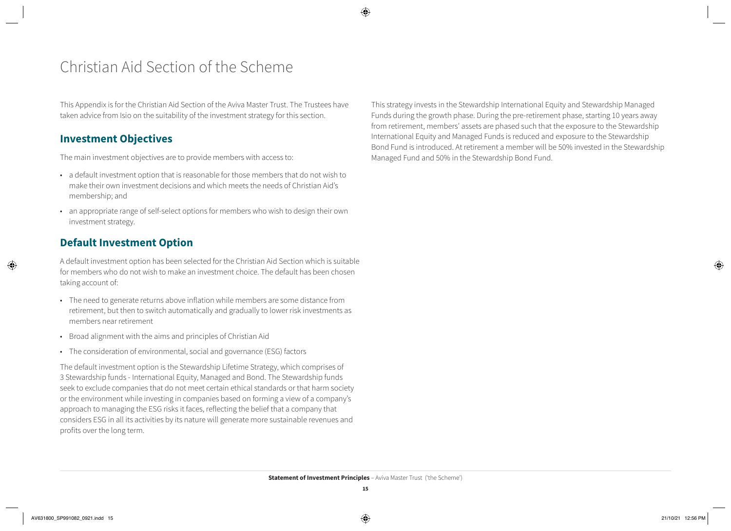# Christian Aid Section of the Scheme

This Appendix is for the Christian Aid Section of the Aviva Master Trust. The Trustees have taken advice from Isio on the suitability of the investment strategy for this section.

#### **Investment Objectives**

The main investment objectives are to provide members with access to:

- a default investment option that is reasonable for those members that do not wish to make their own investment decisions and which meets the needs of Christian Aid's membership; and
- an appropriate range of self-select options for members who wish to design their own investment strategy.

#### **Default Investment Option**

A default investment option has been selected for the Christian Aid Section which is suitable for members who do not wish to make an investment choice. The default has been chosen taking account of:

- The need to generate returns above inflation while members are some distance from retirement, but then to switch automatically and gradually to lower risk investments as members near retirement
- Broad alignment with the aims and principles of Christian Aid
- The consideration of environmental, social and governance (ESG) factors

The default investment option is the Stewardship Lifetime Strategy, which comprises of 3 Stewardship funds - International Equity, Managed and Bond. The Stewardship funds seek to exclude companies that do not meet certain ethical standards or that harm society or the environment while investing in companies based on forming a view of a company's approach to managing the ESG risks it faces, reflecting the belief that a company that considers ESG in all its activities by its nature will generate more sustainable revenues and profits over the long term.

This strategy invests in the Stewardship International Equity and Stewardship Managed Funds during the growth phase. During the pre-retirement phase, starting 10 years away from retirement, members' assets are phased such that the exposure to the Stewardship International Equity and Managed Funds is reduced and exposure to the Stewardship Bond Fund is introduced. At retirement a member will be 50% invested in the Stewardship Managed Fund and 50% in the Stewardship Bond Fund.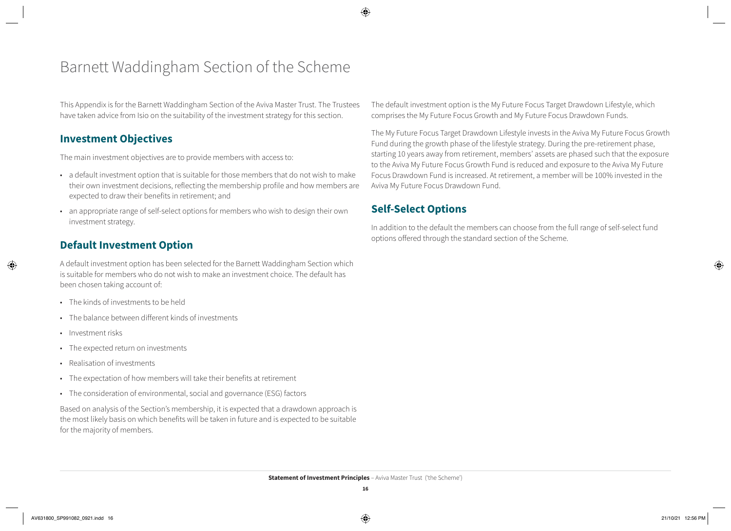# Barnett Waddingham Section of the Scheme

This Appendix is for the Barnett Waddingham Section of the Aviva Master Trust. The Trustees have taken advice from Isio on the suitability of the investment strategy for this section.

#### **Investment Objectives**

The main investment objectives are to provide members with access to:

- a default investment option that is suitable for those members that do not wish to make their own investment decisions, reflecting the membership profile and how members are expected to draw their benefits in retirement; and
- an appropriate range of self-select options for members who wish to design their own investment strategy.

#### **Default Investment Option**

A default investment option has been selected for the Barnett Waddingham Section which is suitable for members who do not wish to make an investment choice. The default has been chosen taking account of:

- The kinds of investments to be held
- The balance between different kinds of investments
- Investment risks
- The expected return on investments
- Realisation of investments
- The expectation of how members will take their benefits at retirement
- The consideration of environmental, social and governance (ESG) factors

Based on analysis of the Section's membership, it is expected that a drawdown approach is the most likely basis on which benefits will be taken in future and is expected to be suitable for the majority of members.

The default investment option is the My Future Focus Target Drawdown Lifestyle, which comprises the My Future Focus Growth and My Future Focus Drawdown Funds.

The My Future Focus Target Drawdown Lifestyle invests in the Aviva My Future Focus Growth Fund during the growth phase of the lifestyle strategy. During the pre-retirement phase, starting 10 years away from retirement, members' assets are phased such that the exposure to the Aviva My Future Focus Growth Fund is reduced and exposure to the Aviva My Future Focus Drawdown Fund is increased. At retirement, a member will be 100% invested in the Aviva My Future Focus Drawdown Fund.

### **Self-Select Options**

In addition to the default the members can choose from the full range of self-select fund options offered through the standard section of the Scheme.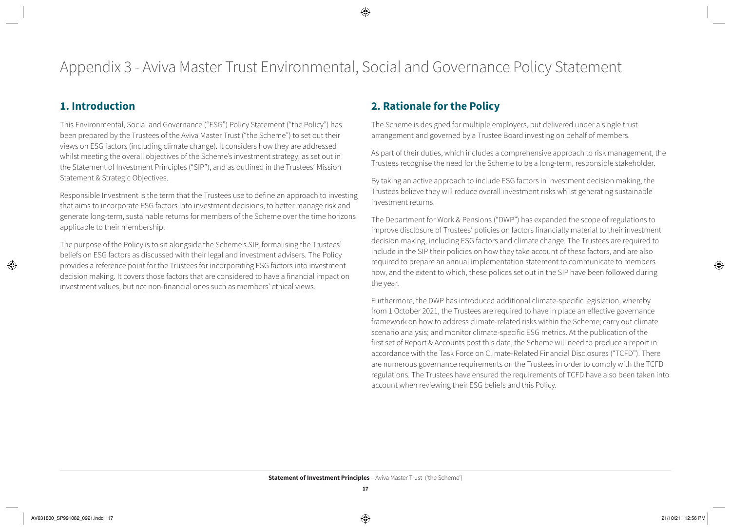### **1. Introduction**

This Environmental, Social and Governance ("ESG") Policy Statement ("the Policy") has been prepared by the Trustees of the Aviva Master Trust ("the Scheme") to set out their views on ESG factors (including climate change). It considers how they are addressed whilst meeting the overall objectives of the Scheme's investment strategy, as set out in the Statement of Investment Principles ("SIP"), and as outlined in the Trustees' Mission Statement & Strategic Objectives.

Responsible Investment is the term that the Trustees use to define an approach to investing that aims to incorporate ESG factors into investment decisions, to better manage risk and generate long-term, sustainable returns for members of the Scheme over the time horizons applicable to their membership.

The purpose of the Policy is to sit alongside the Scheme's SIP, formalising the Trustees' beliefs on ESG factors as discussed with their legal and investment advisers. The Policy provides a reference point for the Trustees for incorporating ESG factors into investment decision making. It covers those factors that are considered to have a financial impact on investment values, but not non-financial ones such as members' ethical views.

### **2. Rationale for the Policy**

The Scheme is designed for multiple employers, but delivered under a single trust arrangement and governed by a Trustee Board investing on behalf of members.

As part of their duties, which includes a comprehensive approach to risk management, the Trustees recognise the need for the Scheme to be a long-term, responsible stakeholder.

By taking an active approach to include ESG factors in investment decision making, the Trustees believe they will reduce overall investment risks whilst generating sustainable investment returns.

The Department for Work & Pensions ("DWP") has expanded the scope of regulations to improve disclosure of Trustees' policies on factors financially material to their investment decision making, including ESG factors and climate change. The Trustees are required to include in the SIP their policies on how they take account of these factors, and are also required to prepare an annual implementation statement to communicate to members how, and the extent to which, these polices set out in the SIP have been followed during the year.

Furthermore, the DWP has introduced additional climate-specific legislation, whereby from 1 October 2021, the Trustees are required to have in place an effective governance framework on how to address climate-related risks within the Scheme; carry out climate scenario analysis; and monitor climate-specific ESG metrics. At the publication of the first set of Report & Accounts post this date, the Scheme will need to produce a report in accordance with the Task Force on Climate-Related Financial Disclosures ("TCFD"). There are numerous governance requirements on the Trustees in order to comply with the TCFD regulations. The Trustees have ensured the requirements of TCFD have also been taken into account when reviewing their ESG beliefs and this Policy.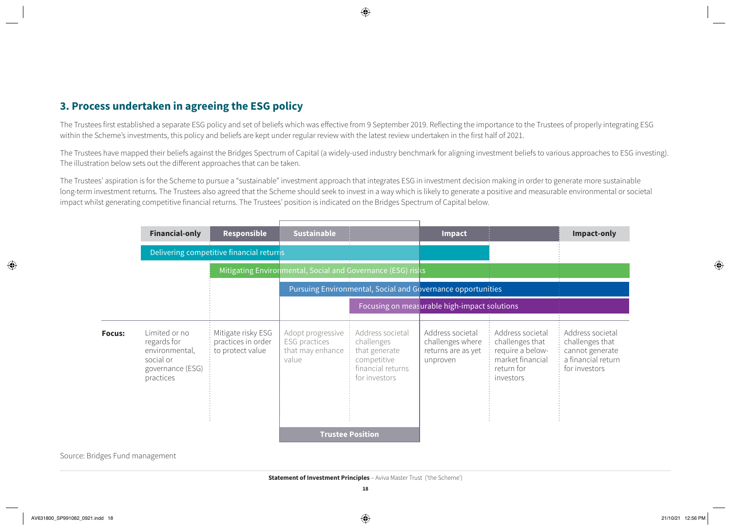#### **3. Process undertaken in agreeing the ESG policy**

The Trustees first established a separate ESG policy and set of beliefs which was effective from 9 September 2019. Reflecting the importance to the Trustees of properly integrating ESG within the Scheme's investments, this policy and beliefs are kept under regular review with the latest review undertaken in the first half of 2021.

The Trustees have mapped their beliefs against the Bridges Spectrum of Capital (a widely-used industry benchmark for aligning investment beliefs to various approaches to ESG investing). The illustration below sets out the different approaches that can be taken.

The Trustees' aspiration is for the Scheme to pursue a "sustainable" investment approach that integrates ESG in investment decision making in order to generate more sustainable long-term investment returns. The Trustees also agreed that the Scheme should seek to invest in a way which is likely to generate a positive and measurable environmental or societal impact whilst generating competitive financial returns. The Trustees' position is indicated on the Bridges Spectrum of Capital below.

|               | <b>Financial-only</b>                                                                        | <b>Responsible</b>                                           | <b>Sustainable</b>                                              |                                                                                                      | Impact                                                                 |                                                                                                        | Impact-only                                                                                   |
|---------------|----------------------------------------------------------------------------------------------|--------------------------------------------------------------|-----------------------------------------------------------------|------------------------------------------------------------------------------------------------------|------------------------------------------------------------------------|--------------------------------------------------------------------------------------------------------|-----------------------------------------------------------------------------------------------|
|               | Delivering competitive financial returrs                                                     |                                                              |                                                                 |                                                                                                      |                                                                        |                                                                                                        |                                                                                               |
|               | Mitigating Environmental, Social and Governance (ESG) risks                                  |                                                              |                                                                 |                                                                                                      |                                                                        |                                                                                                        |                                                                                               |
|               | Pursuing Environmental, Social and Governance opportunities                                  |                                                              |                                                                 |                                                                                                      |                                                                        |                                                                                                        |                                                                                               |
|               | Focusing on measurable high-impact solutions                                                 |                                                              |                                                                 |                                                                                                      |                                                                        |                                                                                                        |                                                                                               |
| <b>Focus:</b> | Limited or no<br>regards for<br>environmental,<br>social or<br>governance (ESG)<br>practices | Mitigate risky ESG<br>practices in order<br>to protect value | Adopt progressive<br>ESG practices<br>that may enhance<br>value | Address societal<br>challenges<br>that generate<br>competitive<br>financial returns<br>for investors | Address societal<br>challenges where<br>returns are as yet<br>unproven | Address societal<br>challenges that<br>require a below-<br>market financial<br>return for<br>investors | Address societal<br>challenges that<br>cannot generate<br>a financial return<br>for investors |
|               |                                                                                              |                                                              |                                                                 | <b>Trustee Position</b>                                                                              |                                                                        |                                                                                                        |                                                                                               |

Source: Bridges Fund management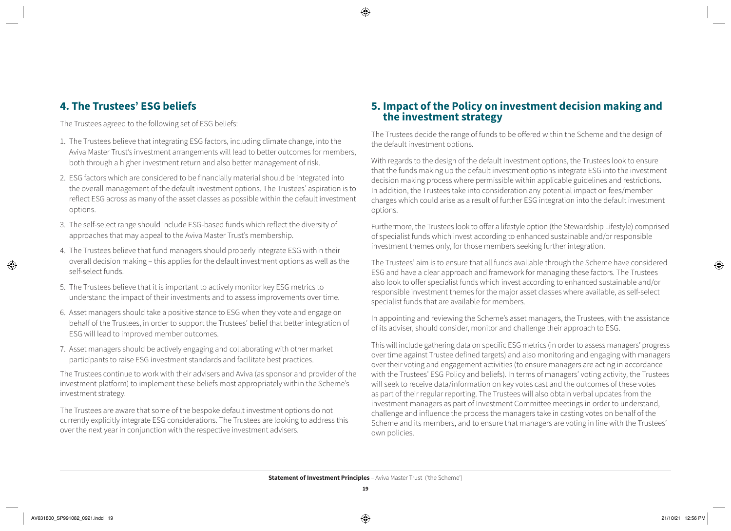#### **4. The Trustees' ESG beliefs**

The Trustees agreed to the following set of ESG beliefs:

- 1. The Trustees believe that integrating ESG factors, including climate change, into the Aviva Master Trust's investment arrangements will lead to better outcomes for members, both through a higher investment return and also better management of risk.
- 2. ESG factors which are considered to be financially material should be integrated into the overall management of the default investment options. The Trustees' aspiration is to reflect ESG across as many of the asset classes as possible within the default investment options.
- 3. The self-select range should include ESG-based funds which reflect the diversity of approaches that may appeal to the Aviva Master Trust's membership.
- 4. The Trustees believe that fund managers should properly integrate ESG within their overall decision making – this applies for the default investment options as well as the self-select funds.
- 5. The Trustees believe that it is important to actively monitor key ESG metrics to understand the impact of their investments and to assess improvements over time.
- 6. Asset managers should take a positive stance to ESG when they vote and engage on behalf of the Trustees, in order to support the Trustees' belief that better integration of ESG will lead to improved member outcomes.
- 7. Asset managers should be actively engaging and collaborating with other market participants to raise ESG investment standards and facilitate best practices.

The Trustees continue to work with their advisers and Aviva (as sponsor and provider of the investment platform) to implement these beliefs most appropriately within the Scheme's investment strategy.

The Trustees are aware that some of the bespoke default investment options do not currently explicitly integrate ESG considerations. The Trustees are looking to address this over the next year in conjunction with the respective investment advisers.

# **5. Impact of the Policy on investment decision making and the investment strategy**

The Trustees decide the range of funds to be offered within the Scheme and the design of the default investment options.

With regards to the design of the default investment options, the Trustees look to ensure that the funds making up the default investment options integrate ESG into the investment decision making process where permissible within applicable guidelines and restrictions. In addition, the Trustees take into consideration any potential impact on fees/member charges which could arise as a result of further ESG integration into the default investment options.

Furthermore, the Trustees look to offer a lifestyle option (the Stewardship Lifestyle) comprised of specialist funds which invest according to enhanced sustainable and/or responsible investment themes only, for those members seeking further integration.

The Trustees' aim is to ensure that all funds available through the Scheme have considered ESG and have a clear approach and framework for managing these factors. The Trustees also look to offer specialist funds which invest according to enhanced sustainable and/or responsible investment themes for the major asset classes where available, as self-select specialist funds that are available for members.

In appointing and reviewing the Scheme's asset managers, the Trustees, with the assistance of its adviser, should consider, monitor and challenge their approach to ESG.

This will include gathering data on specific ESG metrics (in order to assess managers' progress over time against Trustee defined targets) and also monitoring and engaging with managers over their voting and engagement activities (to ensure managers are acting in accordance with the Trustees' ESG Policy and beliefs). In terms of managers' voting activity, the Trustees will seek to receive data/information on key votes cast and the outcomes of these votes as part of their regular reporting. The Trustees will also obtain verbal updates from the investment managers as part of Investment Committee meetings in order to understand, challenge and influence the process the managers take in casting votes on behalf of the Scheme and its members, and to ensure that managers are voting in line with the Trustees' own policies.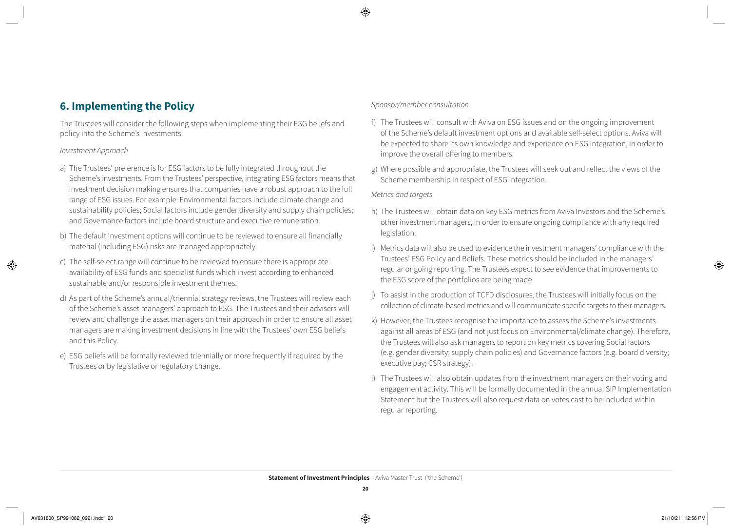#### **6. Implementing the Policy**

The Trustees will consider the following steps when implementing their ESG beliefs and policy into the Scheme's investments:

#### *Investment Approach*

- a) The Trustees' preference is for ESG factors to be fully integrated throughout the Scheme's investments. From the Trustees' perspective, integrating ESG factors means that investment decision making ensures that companies have a robust approach to the full range of ESG issues. For example: Environmental factors include climate change and sustainability policies; Social factors include gender diversity and supply chain policies; and Governance factors include board structure and executive remuneration.
- b) The default investment options will continue to be reviewed to ensure all financially material (including ESG) risks are managed appropriately.
- c) The self-select range will continue to be reviewed to ensure there is appropriate availability of ESG funds and specialist funds which invest according to enhanced sustainable and/or responsible investment themes.
- d) As part of the Scheme's annual/triennial strategy reviews, the Trustees will review each of the Scheme's asset managers' approach to ESG. The Trustees and their advisers will review and challenge the asset managers on their approach in order to ensure all asset managers are making investment decisions in line with the Trustees' own ESG beliefs and this Policy.
- e) ESG beliefs will be formally reviewed triennially or more frequently if required by the Trustees or by legislative or regulatory change.

#### *Sponsor/member consultation*

- f) The Trustees will consult with Aviva on ESG issues and on the ongoing improvement of the Scheme's default investment options and available self-select options. Aviva will be expected to share its own knowledge and experience on ESG integration, in order to improve the overall offering to members.
- g) Where possible and appropriate, the Trustees will seek out and reflect the views of the Scheme membership in respect of ESG integration.

#### *Metrics and targets*

- h) The Trustees will obtain data on key ESG metrics from Aviva Investors and the Scheme's other investment managers, in order to ensure ongoing compliance with any required legislation.
- i) Metrics data will also be used to evidence the investment managers' compliance with the Trustees' ESG Policy and Beliefs. These metrics should be included in the managers' regular ongoing reporting. The Trustees expect to see evidence that improvements to the ESG score of the portfolios are being made.
- j) To assist in the production of TCFD disclosures, the Trustees will initially focus on the collection of climate-based metrics and will communicate specific targets to their managers.
- k) However, the Trustees recognise the importance to assess the Scheme's investments against all areas of ESG (and not just focus on Environmental/climate change). Therefore, the Trustees will also ask managers to report on key metrics covering Social factors (e.g. gender diversity; supply chain policies) and Governance factors (e.g. board diversity; executive pay; CSR strategy).
- l) The Trustees will also obtain updates from the investment managers on their voting and engagement activity. This will be formally documented in the annual SIP Implementation Statement but the Trustees will also request data on votes cast to be included within regular reporting.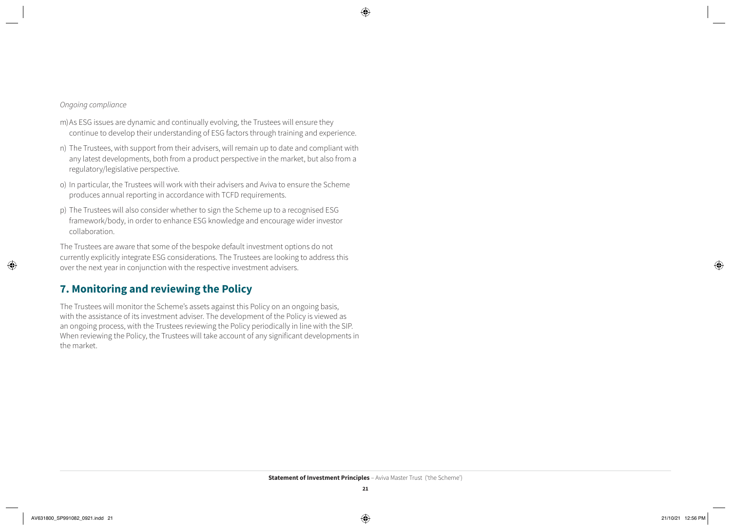#### *Ongoing compliance*

- m)As ESG issues are dynamic and continually evolving, the Trustees will ensure they continue to develop their understanding of ESG factors through training and experience.
- n) The Trustees, with support from their advisers, will remain up to date and compliant with any latest developments, both from a product perspective in the market, but also from a regulatory/legislative perspective.
- o) In particular, the Trustees will work with their advisers and Aviva to ensure the Scheme produces annual reporting in accordance with TCFD requirements.
- p) The Trustees will also consider whether to sign the Scheme up to a recognised ESG framework/body, in order to enhance ESG knowledge and encourage wider investor collaboration.

The Trustees are aware that some of the bespoke default investment options do not currently explicitly integrate ESG considerations. The Trustees are looking to address this over the next year in conjunction with the respective investment advisers.

#### **7. Monitoring and reviewing the Policy**

The Trustees will monitor the Scheme's assets against this Policy on an ongoing basis, with the assistance of its investment adviser. The development of the Policy is viewed as an ongoing process, with the Trustees reviewing the Policy periodically in line with the SIP. When reviewing the Policy, the Trustees will take account of any significant developments in the market.